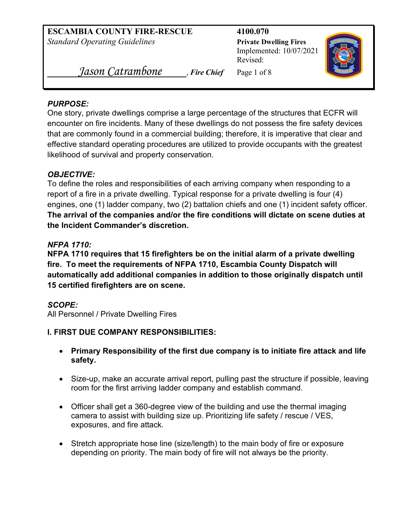**ESCAMBIA COUNTY FIRE-RESCUE 4100.070** *Standard Operating Guidelines* **Private Dwelling Fires** 

Implemented: 10/07/2021 Revised:



 *Jason Catrambone* , *Fire Chief* Page 1 of 8

#### *PURPOSE:*

One story, private dwellings comprise a large percentage of the structures that ECFR will encounter on fire incidents. Many of these dwellings do not possess the fire safety devices that are commonly found in a commercial building; therefore, it is imperative that clear and effective standard operating procedures are utilized to provide occupants with the greatest likelihood of survival and property conservation.

## *OBJECTIVE:*

To define the roles and responsibilities of each arriving company when responding to a report of a fire in a private dwelling. Typical response for a private dwelling is four (4) engines, one (1) ladder company, two (2) battalion chiefs and one (1) incident safety officer. **The arrival of the companies and/or the fire conditions will dictate on scene duties at the Incident Commander's discretion.**

## *NFPA 1710:*

**NFPA 1710 requires that 15 firefighters be on the initial alarm of a private dwelling fire. To meet the requirements of NFPA 1710, Escambia County Dispatch will automatically add additional companies in addition to those originally dispatch until 15 certified firefighters are on scene.** 

## *SCOPE:*

All Personnel / Private Dwelling Fires

## **I. FIRST DUE COMPANY RESPONSIBILITIES:**

- **Primary Responsibility of the first due company is to initiate fire attack and life safety.**
- Size-up, make an accurate arrival report, pulling past the structure if possible, leaving room for the first arriving ladder company and establish command.
- Officer shall get a 360-degree view of the building and use the thermal imaging camera to assist with building size up. Prioritizing life safety / rescue / VES, exposures, and fire attack.
- Stretch appropriate hose line (size/length) to the main body of fire or exposure depending on priority. The main body of fire will not always be the priority.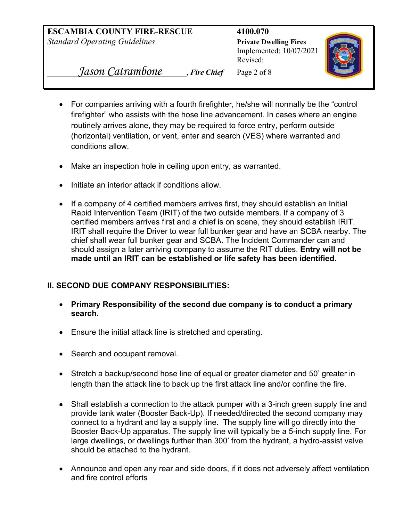**ESCAMBIA COUNTY FIRE-RESCUE 4100.070**  *Standard Operating Guidelines* **Private Dwelling Fires** 

 Implemented: 10/07/2021 Revised:



 *Jason Catrambone* , *Fire Chief* Page 2 of 8

- For companies arriving with a fourth firefighter, he/she will normally be the "control firefighter" who assists with the hose line advancement. In cases where an engine routinely arrives alone, they may be required to force entry, perform outside (horizontal) ventilation, or vent, enter and search (VES) where warranted and conditions allow.
- Make an inspection hole in ceiling upon entry, as warranted.
- Initiate an interior attack if conditions allow.
- If a company of 4 certified members arrives first, they should establish an Initial Rapid Intervention Team (IRIT) of the two outside members. If a company of 3 certified members arrives first and a chief is on scene, they should establish IRIT. IRIT shall require the Driver to wear full bunker gear and have an SCBA nearby. The chief shall wear full bunker gear and SCBA. The Incident Commander can and should assign a later arriving company to assume the RIT duties. **Entry will not be made until an IRIT can be established or life safety has been identified.**

## **II. SECOND DUE COMPANY RESPONSIBILITIES:**

- **Primary Responsibility of the second due company is to conduct a primary search.**
- Ensure the initial attack line is stretched and operating.
- Search and occupant removal.
- Stretch a backup/second hose line of equal or greater diameter and 50' greater in length than the attack line to back up the first attack line and/or confine the fire.
- Shall establish a connection to the attack pumper with a 3-inch green supply line and provide tank water (Booster Back-Up). If needed/directed the second company may connect to a hydrant and lay a supply line. The supply line will go directly into the Booster Back-Up apparatus. The supply line will typically be a 5-inch supply line. For large dwellings, or dwellings further than 300' from the hydrant, a hydro-assist valve should be attached to the hydrant.
- Announce and open any rear and side doors, if it does not adversely affect ventilation and fire control efforts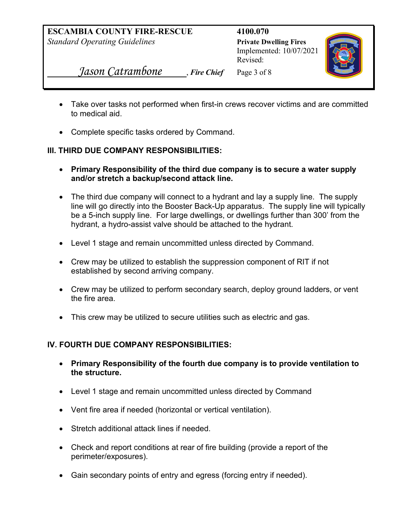Implemented: 10/07/2021 Revised:



 *Jason Catrambone* , *Fire Chief* Page 3 of 8

- Take over tasks not performed when first-in crews recover victims and are committed to medical aid.
- Complete specific tasks ordered by Command.

# **III. THIRD DUE COMPANY RESPONSIBILITIES:**

- **Primary Responsibility of the third due company is to secure a water supply and/or stretch a backup/second attack line.**
- The third due company will connect to a hydrant and lay a supply line. The supply line will go directly into the Booster Back-Up apparatus. The supply line will typically be a 5-inch supply line. For large dwellings, or dwellings further than 300' from the hydrant, a hydro-assist valve should be attached to the hydrant.
- Level 1 stage and remain uncommitted unless directed by Command.
- Crew may be utilized to establish the suppression component of RIT if not established by second arriving company.
- Crew may be utilized to perform secondary search, deploy ground ladders, or vent the fire area.
- This crew may be utilized to secure utilities such as electric and gas.

# **IV. FOURTH DUE COMPANY RESPONSIBILITIES:**

- **Primary Responsibility of the fourth due company is to provide ventilation to the structure.**
- Level 1 stage and remain uncommitted unless directed by Command
- Vent fire area if needed (horizontal or vertical ventilation).
- Stretch additional attack lines if needed.
- Check and report conditions at rear of fire building (provide a report of the perimeter/exposures).
- Gain secondary points of entry and egress (forcing entry if needed).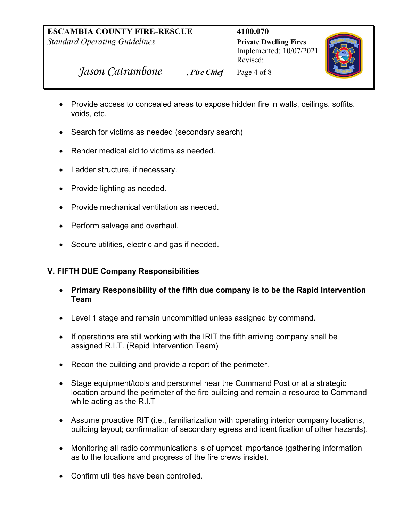Implemented: 10/07/2021 Revised:



 *Jason Catrambone* , *Fire Chief* Page 4 of 8

- Provide access to concealed areas to expose hidden fire in walls, ceilings, soffits, voids, etc.
- Search for victims as needed (secondary search)
- Render medical aid to victims as needed.
- Ladder structure, if necessary.
- Provide lighting as needed.
- Provide mechanical ventilation as needed.
- Perform salvage and overhaul.
- Secure utilities, electric and gas if needed.

## **V. FIFTH DUE Company Responsibilities**

- **Primary Responsibility of the fifth due company is to be the Rapid Intervention Team**
- Level 1 stage and remain uncommitted unless assigned by command.
- If operations are still working with the IRIT the fifth arriving company shall be assigned R.I.T. (Rapid Intervention Team)
- Recon the building and provide a report of the perimeter.
- Stage equipment/tools and personnel near the Command Post or at a strategic location around the perimeter of the fire building and remain a resource to Command while acting as the R.I.T
- Assume proactive RIT (i.e., familiarization with operating interior company locations, building layout; confirmation of secondary egress and identification of other hazards).
- Monitoring all radio communications is of upmost importance (gathering information as to the locations and progress of the fire crews inside).
- Confirm utilities have been controlled.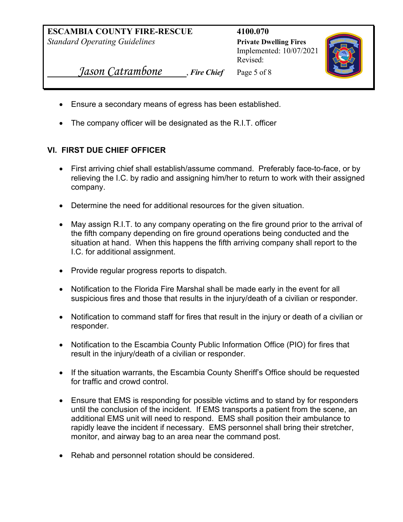**ESCAMBIA COUNTY FIRE-RESCUE 4100.070** *Standard Operating Guidelines* **Private Dwelling Fires** 

Implemented: 10/07/2021 Revised:



 *Jason Catrambone* , *Fire Chief* Page 5 of 8

- Ensure a secondary means of egress has been established.
- The company officer will be designated as the R.I.T. officer

## **VI. FIRST DUE CHIEF OFFICER**

- First arriving chief shall establish/assume command. Preferably face-to-face, or by relieving the I.C. by radio and assigning him/her to return to work with their assigned company.
- Determine the need for additional resources for the given situation.
- May assign R.I.T. to any company operating on the fire ground prior to the arrival of the fifth company depending on fire ground operations being conducted and the situation at hand. When this happens the fifth arriving company shall report to the I.C. for additional assignment.
- Provide regular progress reports to dispatch.
- Notification to the Florida Fire Marshal shall be made early in the event for all suspicious fires and those that results in the injury/death of a civilian or responder.
- Notification to command staff for fires that result in the injury or death of a civilian or responder.
- Notification to the Escambia County Public Information Office (PIO) for fires that result in the injury/death of a civilian or responder.
- If the situation warrants, the Escambia County Sheriff's Office should be requested for traffic and crowd control.
- Ensure that EMS is responding for possible victims and to stand by for responders until the conclusion of the incident. If EMS transports a patient from the scene, an additional EMS unit will need to respond. EMS shall position their ambulance to rapidly leave the incident if necessary. EMS personnel shall bring their stretcher, monitor, and airway bag to an area near the command post.
- Rehab and personnel rotation should be considered.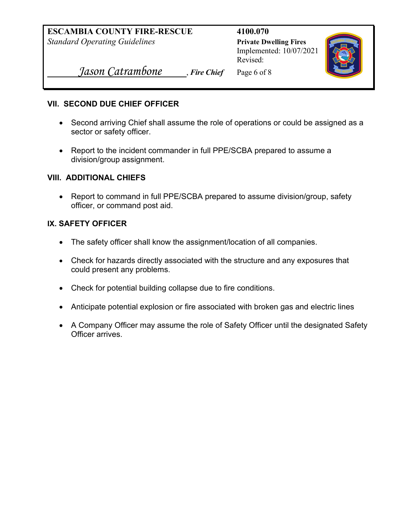**ESCAMBIA COUNTY FIRE-RESCUE 4100.070** *Standard Operating Guidelines* **Private Dwelling Fires** 

Implemented: 10/07/2021 Revised:



 *Jason Catrambone* , *Fire Chief* Page 6 of 8

#### **VII. SECOND DUE CHIEF OFFICER**

- Second arriving Chief shall assume the role of operations or could be assigned as a sector or safety officer.
- Report to the incident commander in full PPE/SCBA prepared to assume a division/group assignment.

#### **VIII. ADDITIONAL CHIEFS**

• Report to command in full PPE/SCBA prepared to assume division/group, safety officer, or command post aid.

#### **IX. SAFETY OFFICER**

- The safety officer shall know the assignment/location of all companies.
- Check for hazards directly associated with the structure and any exposures that could present any problems.
- Check for potential building collapse due to fire conditions.
- Anticipate potential explosion or fire associated with broken gas and electric lines
- A Company Officer may assume the role of Safety Officer until the designated Safety Officer arrives.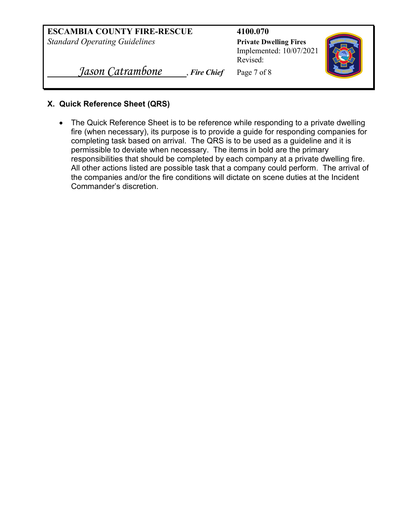| <b>ESCAMBIA COUNTY FIRE-RESCUE</b><br><b>Standard Operating Guidelines</b> | 4100.070<br><b>Private Dwelling Fires</b><br>Implemented: 10/07/2021<br>Revised: |  |
|----------------------------------------------------------------------------|----------------------------------------------------------------------------------|--|
| Jason Catrambone<br>Fire Chief                                             | Page 7 of 8                                                                      |  |

#### **X. Quick Reference Sheet (QRS)**

• The Quick Reference Sheet is to be reference while responding to a private dwelling fire (when necessary), its purpose is to provide a guide for responding companies for completing task based on arrival. The QRS is to be used as a guideline and it is permissible to deviate when necessary. The items in bold are the primary responsibilities that should be completed by each company at a private dwelling fire. All other actions listed are possible task that a company could perform. The arrival of the companies and/or the fire conditions will dictate on scene duties at the Incident Commander's discretion.